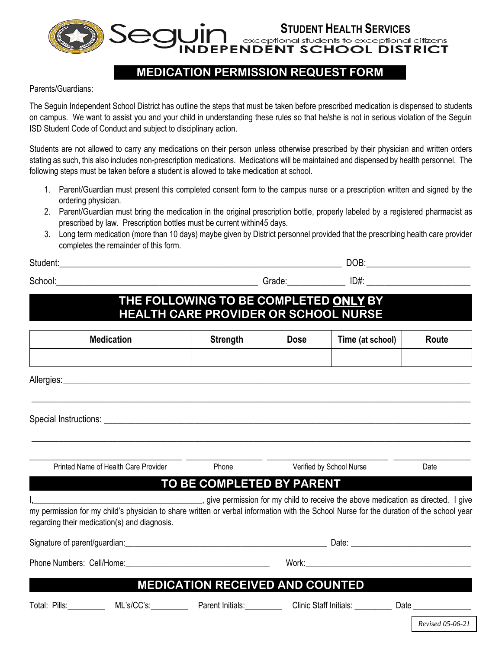**STUDENT HEALTH SERVICES**<br>• exceptional students to exceptional citizens<br>• PENDENT SCHOOL DISTRICT

## **MEDICATION PERMISSION REQUEST FORM**

Parents/Guardians:

The Seguin Independent School District has outline the steps that must be taken before prescribed medication is dispensed to students on campus. We want to assist you and your child in understanding these rules so that he/she is not in serious violation of the Seguin ISD Student Code of Conduct and subject to disciplinary action.

Students are not allowed to carry any medications on their person unless otherwise prescribed by their physician and written orders stating as such, this also includes non-prescription medications. Medications will be maintained and dispensed by health personnel. The following steps must be taken before a student is allowed to take medication at school.

- 1. Parent/Guardian must present this completed consent form to the campus nurse or a prescription written and signed by the ordering physician.
- 2. Parent/Guardian must bring the medication in the original prescription bottle, properly labeled by a registered pharmacist as prescribed by law. Prescription bottles must be current within45 days.
- 3. Long term medication (more than 10 days) maybe given by District personnel provided that the prescribing health care provider completes the remainder of this form.

Student:<br>
and the student: the student of the student of the student of the student of the student of the student of the studies of the student of the student of the student of the student of the student of the student of

 $School:$   $\Box$ 

## **THE FOLLOWING TO BE COMPLETED ONLY BY HEALTH CARE PROVIDER OR SCHOOL NURSE**

| <b>Medication</b>                                                                                                                                                                                                                                                           | <b>Strength</b> | <b>Dose</b>              | Time (at school) | Route                                     |  |  |  |  |  |
|-----------------------------------------------------------------------------------------------------------------------------------------------------------------------------------------------------------------------------------------------------------------------------|-----------------|--------------------------|------------------|-------------------------------------------|--|--|--|--|--|
|                                                                                                                                                                                                                                                                             |                 |                          |                  |                                           |  |  |  |  |  |
|                                                                                                                                                                                                                                                                             |                 |                          |                  |                                           |  |  |  |  |  |
|                                                                                                                                                                                                                                                                             |                 |                          |                  |                                           |  |  |  |  |  |
|                                                                                                                                                                                                                                                                             |                 |                          |                  |                                           |  |  |  |  |  |
| Printed Name of Health Care Provider                                                                                                                                                                                                                                        | Phone           | Verified by School Nurse |                  | Date                                      |  |  |  |  |  |
| TO BE COMPLETED BY PARENT                                                                                                                                                                                                                                                   |                 |                          |                  |                                           |  |  |  |  |  |
| give permission for my child to receive the above medication as directed. I give<br>my permission for my child's physician to share written or verbal information with the School Nurse for the duration of the school year<br>regarding their medication(s) and diagnosis. |                 |                          |                  |                                           |  |  |  |  |  |
|                                                                                                                                                                                                                                                                             |                 |                          |                  |                                           |  |  |  |  |  |
|                                                                                                                                                                                                                                                                             |                 |                          |                  |                                           |  |  |  |  |  |
| <b>MEDICATION RECEIVED AND COUNTED</b>                                                                                                                                                                                                                                      |                 |                          |                  |                                           |  |  |  |  |  |
| Total: Pills: ML's/CC's: Parent Initials: Clinic Staff Initials: Date Clinic Staff Initials: Nate                                                                                                                                                                           |                 |                          |                  | $\sim$ $\sim$ $\sim$ $\sim$ $\sim$ $\sim$ |  |  |  |  |  |

*Revised 05-06-21*